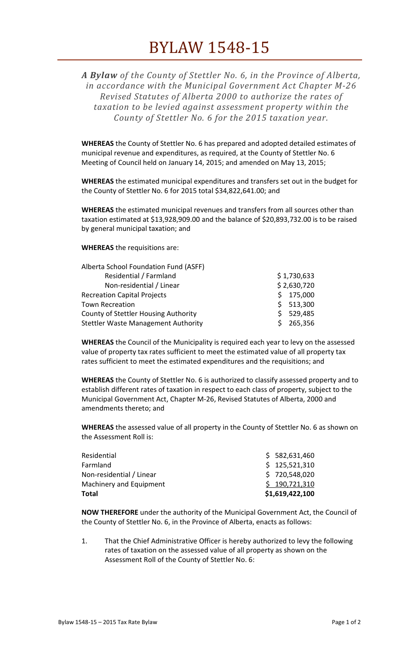*A Bylaw of the County of Stettler No. 6, in the Province of Alberta, in accordance with the Municipal Government Act Chapter M-26 Revised Statutes of Alberta 2000 to authorize the rates of taxation to be levied against assessment property within the County of Stettler No. 6 for the 2015 taxation year.*

**WHEREAS** the County of Stettler No. 6 has prepared and adopted detailed estimates of municipal revenue and expenditures, as required, at the County of Stettler No. 6 Meeting of Council held on January 14, 2015; and amended on May 13, 2015;

**WHEREAS** the estimated municipal expenditures and transfers set out in the budget for the County of Stettler No. 6 for 2015 total \$34,822,641.00; and

**WHEREAS** the estimated municipal revenues and transfers from all sources other than taxation estimated at \$13,928,909.00 and the balance of \$20,893,732.00 is to be raised by general municipal taxation; and

**WHEREAS** the requisitions are:

| Alberta School Foundation Fund (ASFF)       |             |
|---------------------------------------------|-------------|
| Residential / Farmland                      | \$1,730,633 |
| Non-residential / Linear                    | \$2,630,720 |
| <b>Recreation Capital Projects</b>          | \$175,000   |
| <b>Town Recreation</b>                      | \$ 513,300  |
| <b>County of Stettler Housing Authority</b> | \$529,485   |
| <b>Stettler Waste Management Authority</b>  | 265,356     |

**WHEREAS** the Council of the Municipality is required each year to levy on the assessed value of property tax rates sufficient to meet the estimated value of all property tax rates sufficient to meet the estimated expenditures and the requisitions; and

**WHEREAS** the County of Stettler No. 6 is authorized to classify assessed property and to establish different rates of taxation in respect to each class of property, subject to the Municipal Government Act, Chapter M-26, Revised Statutes of Alberta, 2000 and amendments thereto; and

**WHEREAS** the assessed value of all property in the County of Stettler No. 6 as shown on the Assessment Roll is:

| \$1,619,422,100 |
|-----------------|
| \$190,721,310   |
| \$720,548,020   |
| \$125,521,310   |
| \$582,631,460   |
|                 |

**NOW THEREFORE** under the authority of the Municipal Government Act, the Council of the County of Stettler No. 6, in the Province of Alberta, enacts as follows:

1. That the Chief Administrative Officer is hereby authorized to levy the following rates of taxation on the assessed value of all property as shown on the Assessment Roll of the County of Stettler No. 6: